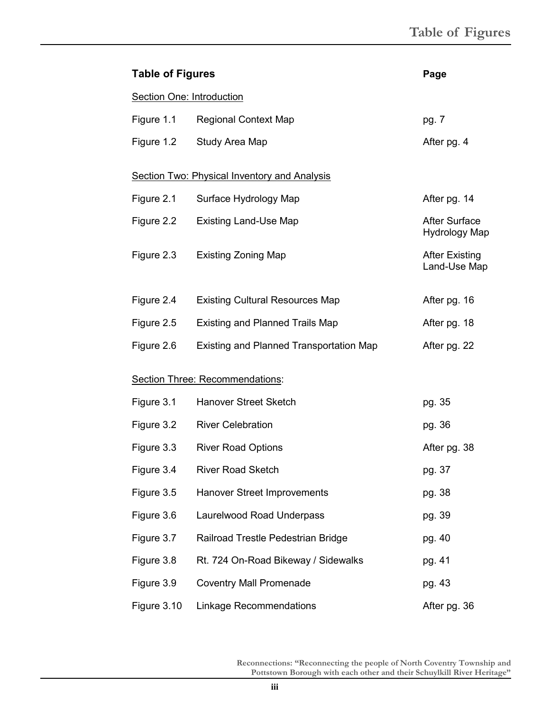| <b>Table of Figures</b>                             |                                         | Page                                  |
|-----------------------------------------------------|-----------------------------------------|---------------------------------------|
| <b>Section One: Introduction</b>                    |                                         |                                       |
| Figure 1.1                                          | <b>Regional Context Map</b>             | pg. 7                                 |
| Figure 1.2                                          | Study Area Map                          | After pg. 4                           |
| <b>Section Two: Physical Inventory and Analysis</b> |                                         |                                       |
| Figure 2.1                                          | Surface Hydrology Map                   | After pg. 14                          |
| Figure 2.2                                          | <b>Existing Land-Use Map</b>            | <b>After Surface</b><br>Hydrology Map |
| Figure 2.3                                          | <b>Existing Zoning Map</b>              | <b>After Existing</b><br>Land-Use Map |
| Figure 2.4                                          | <b>Existing Cultural Resources Map</b>  | After pg. 16                          |
| Figure 2.5                                          | <b>Existing and Planned Trails Map</b>  | After pg. 18                          |
| Figure 2.6                                          | Existing and Planned Transportation Map | After pg. 22                          |
| Section Three: Recommendations:                     |                                         |                                       |
| Figure 3.1                                          | <b>Hanover Street Sketch</b>            | pg. 35                                |
| Figure 3.2                                          | <b>River Celebration</b>                | pg. 36                                |
| Figure 3.3                                          | <b>River Road Options</b>               | After pg. 38                          |
| Figure 3.4                                          | <b>River Road Sketch</b>                | pg. 37                                |
| Figure 3.5                                          | Hanover Street Improvements             | pg. 38                                |
| Figure 3.6                                          | Laurelwood Road Underpass               | pg. 39                                |
| Figure 3.7                                          | Railroad Trestle Pedestrian Bridge      | pg. 40                                |
| Figure 3.8                                          | Rt. 724 On-Road Bikeway / Sidewalks     | pg. 41                                |
| Figure 3.9                                          | <b>Coventry Mall Promenade</b>          | pg. 43                                |
| Figure 3.10                                         | <b>Linkage Recommendations</b>          | After pg. 36                          |

**Reconnections: "Reconnecting the people of North Coventry Township and Pottstown Borough with each other and their Schuylkill River Heritage"**